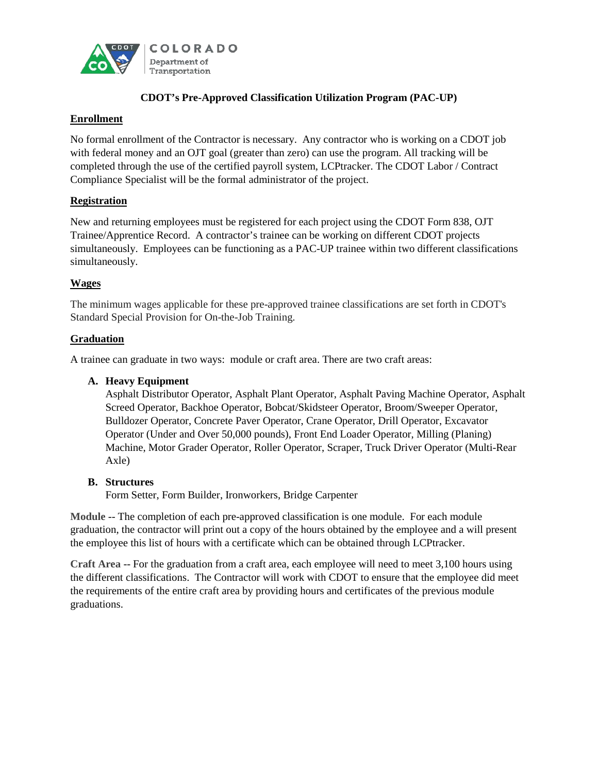

# **CDOT's Pre-Approved Classification Utilization Program (PAC-UP)**

## **Enrollment**

No formal enrollment of the Contractor is necessary. Any contractor who is working on a CDOT job with federal money and an OJT goal (greater than zero) can use the program. All tracking will be completed through the use of the certified payroll system, LCPtracker. The CDOT Labor / Contract Compliance Specialist will be the formal administrator of the project.

## **Registration**

New and returning employees must be registered for each project using the CDOT Form 838, OJT Trainee/Apprentice Record. A contractor's trainee can be working on different CDOT projects simultaneously. Employees can be functioning as a PAC-UP trainee within two different classifications simultaneously.

## **Wages**

The minimum wages applicable for these pre-approved trainee classifications are set forth in CDOT's Standard Special Provision for On-the-Job Training.

### **Graduation**

A trainee can graduate in two ways: module or craft area. There are two craft areas:

### **A. Heavy Equipment**

Asphalt Distributor Operator, Asphalt Plant Operator, Asphalt Paving Machine Operator, Asphalt Screed Operator, Backhoe Operator, Bobcat/Skidsteer Operator, Broom/Sweeper Operator, Bulldozer Operator, Concrete Paver Operator, Crane Operator, Drill Operator, Excavator Operator (Under and Over 50,000 pounds), Front End Loader Operator, Milling (Planing) Machine, Motor Grader Operator, Roller Operator, Scraper, Truck Driver Operator (Multi-Rear Axle)

### **B. Structures**

Form Setter, Form Builder, Ironworkers, Bridge Carpenter

**Module** -- The completion of each pre-approved classification is one module. For each module graduation, the contractor will print out a copy of the hours obtained by the employee and a will present the employee this list of hours with a certificate which can be obtained through LCPtracker.

**Craft Area** -- For the graduation from a craft area, each employee will need to meet 3,100 hours using the different classifications. The Contractor will work with CDOT to ensure that the employee did meet the requirements of the entire craft area by providing hours and certificates of the previous module graduations.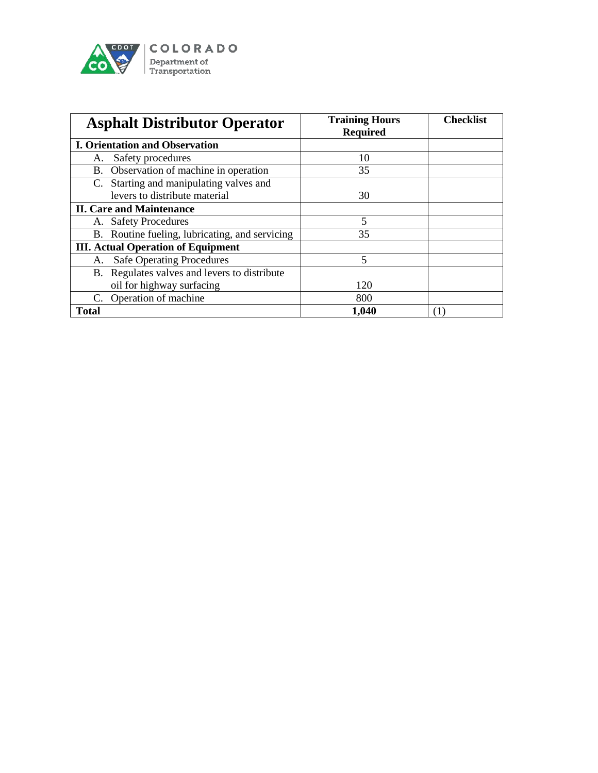

| <b>Asphalt Distributor Operator</b>            | <b>Training Hours</b><br><b>Required</b> | <b>Checklist</b> |
|------------------------------------------------|------------------------------------------|------------------|
| <b>I. Orientation and Observation</b>          |                                          |                  |
| Safety procedures<br>А.                        | 10                                       |                  |
| B. Observation of machine in operation         | 35                                       |                  |
| C. Starting and manipulating valves and        |                                          |                  |
| levers to distribute material                  | 30                                       |                  |
| <b>II. Care and Maintenance</b>                |                                          |                  |
| A. Safety Procedures                           | 5                                        |                  |
| B. Routine fueling, lubricating, and servicing | 35                                       |                  |
| <b>III. Actual Operation of Equipment</b>      |                                          |                  |
| <b>Safe Operating Procedures</b><br>А.         | 5                                        |                  |
| B. Regulates valves and levers to distribute   |                                          |                  |
| oil for highway surfacing                      | 120                                      |                  |
| C. Operation of machine                        | 800                                      |                  |
| <b>Total</b>                                   | 1,040                                    |                  |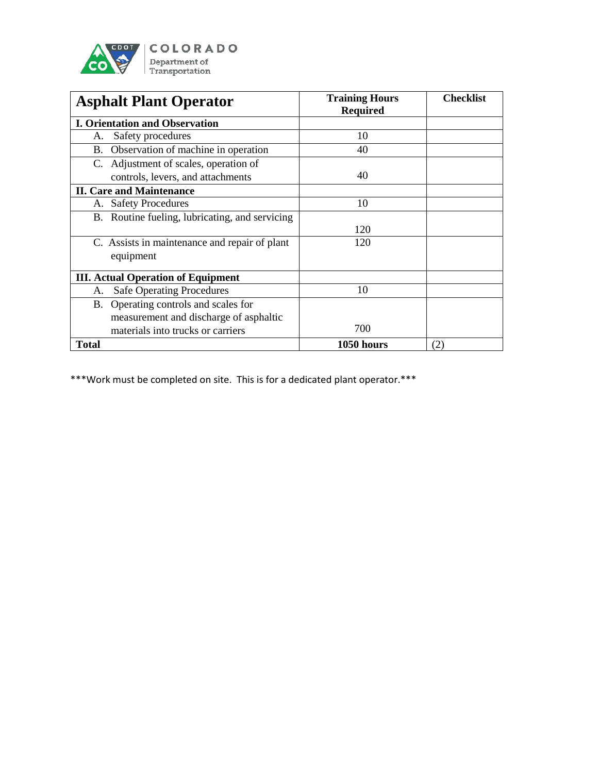

| <b>Asphalt Plant Operator</b>                  | <b>Training Hours</b><br><b>Required</b> | <b>Checklist</b> |
|------------------------------------------------|------------------------------------------|------------------|
| <b>I. Orientation and Observation</b>          |                                          |                  |
| Safety procedures<br>A.                        | 10                                       |                  |
| B. Observation of machine in operation         | 40                                       |                  |
| C. Adjustment of scales, operation of          |                                          |                  |
| controls, levers, and attachments              | 40                                       |                  |
| <b>II. Care and Maintenance</b>                |                                          |                  |
| <b>Safety Procedures</b><br>А.                 | 10                                       |                  |
| B. Routine fueling, lubricating, and servicing |                                          |                  |
|                                                | 120                                      |                  |
| C. Assists in maintenance and repair of plant  | 120                                      |                  |
| equipment                                      |                                          |                  |
| <b>III.</b> Actual Operation of Equipment      |                                          |                  |
| <b>Safe Operating Procedures</b><br>А.         | 10                                       |                  |
| B. Operating controls and scales for           |                                          |                  |
| measurement and discharge of asphaltic         |                                          |                  |
| materials into trucks or carriers              | 700                                      |                  |
| <b>Total</b>                                   | 1050 hours                               | (2)              |

\*\*\*Work must be completed on site. This is for a dedicated plant operator.\*\*\*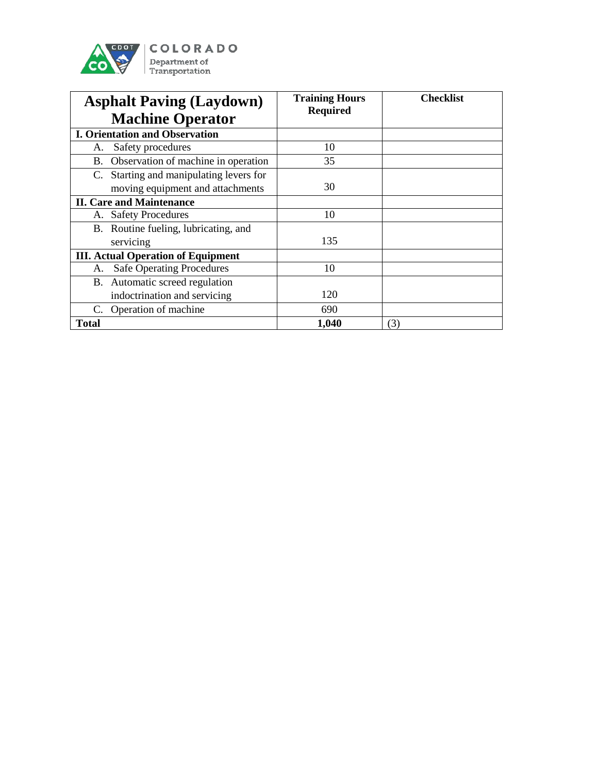

| <b>Asphalt Paving (Laydown)</b><br><b>Machine Operator</b> | <b>Training Hours</b><br><b>Required</b> | <b>Checklist</b> |
|------------------------------------------------------------|------------------------------------------|------------------|
| <b>I. Orientation and Observation</b>                      |                                          |                  |
| Safety procedures<br>A.                                    | 10                                       |                  |
| B. Observation of machine in operation                     | 35                                       |                  |
| C. Starting and manipulating levers for                    |                                          |                  |
| moving equipment and attachments                           | 30                                       |                  |
| <b>II. Care and Maintenance</b>                            |                                          |                  |
| <b>Safety Procedures</b><br>А.                             | 10                                       |                  |
| B. Routine fueling, lubricating, and                       |                                          |                  |
| servicing                                                  | 135                                      |                  |
| <b>III. Actual Operation of Equipment</b>                  |                                          |                  |
| <b>Safe Operating Procedures</b><br>А.                     | 10                                       |                  |
| B. Automatic screed regulation                             |                                          |                  |
| indoctrination and servicing                               | 120                                      |                  |
| Operation of machine<br>C.                                 | 690                                      |                  |
| <b>Total</b>                                               | 1,040                                    | (3)              |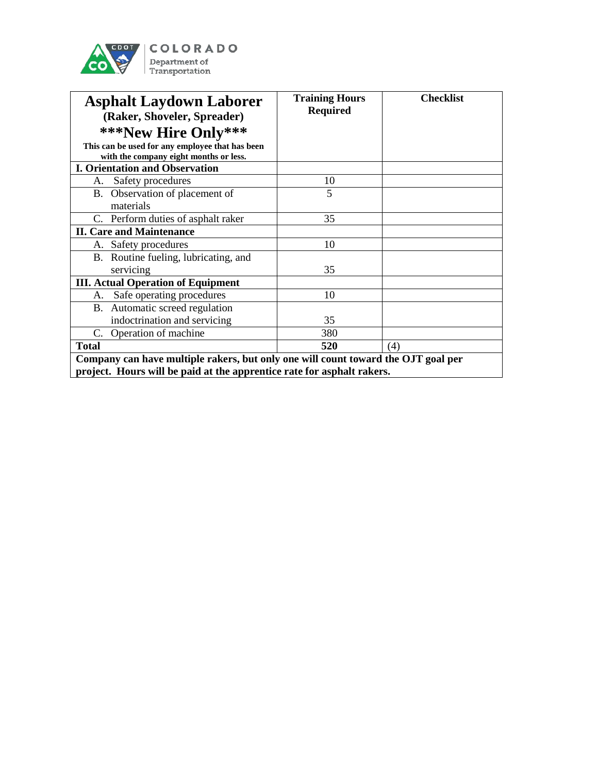

| <b>Asphalt Laydown Laborer</b><br>(Raker, Shoveler, Spreader)                                                                                               | <b>Training Hours</b><br><b>Required</b> | <b>Checklist</b> |
|-------------------------------------------------------------------------------------------------------------------------------------------------------------|------------------------------------------|------------------|
| ***New Hire Only***                                                                                                                                         |                                          |                  |
| This can be used for any employee that has been<br>with the company eight months or less.                                                                   |                                          |                  |
| <b>I. Orientation and Observation</b>                                                                                                                       |                                          |                  |
| Safety procedures<br>А.                                                                                                                                     | 10                                       |                  |
| B. Observation of placement of<br>materials                                                                                                                 | 5                                        |                  |
| C. Perform duties of asphalt raker                                                                                                                          | 35                                       |                  |
| <b>II. Care and Maintenance</b>                                                                                                                             |                                          |                  |
| Safety procedures<br>А.                                                                                                                                     | 10                                       |                  |
| B. Routine fueling, lubricating, and<br>servicing                                                                                                           | 35                                       |                  |
| <b>III. Actual Operation of Equipment</b>                                                                                                                   |                                          |                  |
| Safe operating procedures<br>А.                                                                                                                             | 10                                       |                  |
| B. Automatic screed regulation                                                                                                                              |                                          |                  |
| indoctrination and servicing                                                                                                                                | 35                                       |                  |
| Operation of machine<br>C.                                                                                                                                  | 380                                      |                  |
| <b>Total</b>                                                                                                                                                | 520                                      | (4)              |
| Company can have multiple rakers, but only one will count toward the OJT goal per<br>project. Hours will be paid at the apprentice rate for asphalt rakers. |                                          |                  |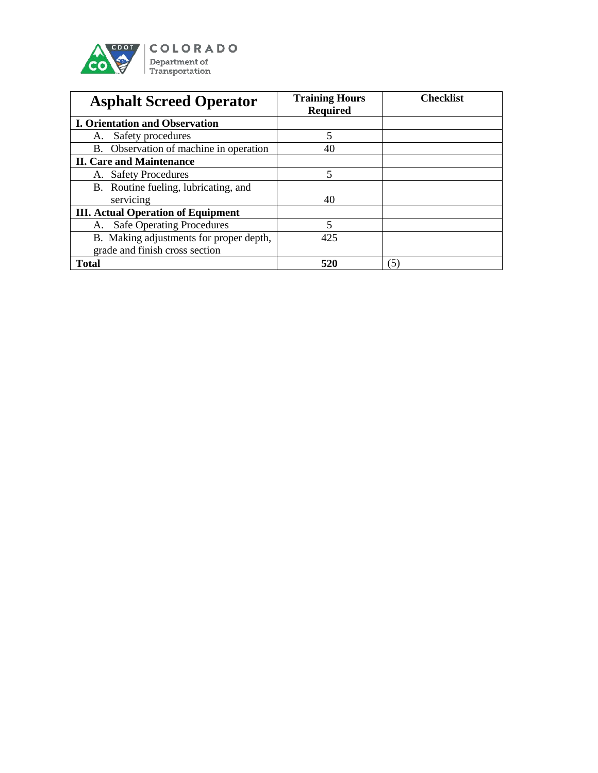

| <b>Asphalt Screed Operator</b>            | <b>Training Hours</b><br><b>Required</b> | <b>Checklist</b> |
|-------------------------------------------|------------------------------------------|------------------|
| <b>I. Orientation and Observation</b>     |                                          |                  |
| Safety procedures<br>А.                   | 5                                        |                  |
| B. Observation of machine in operation    | 40                                       |                  |
| <b>II. Care and Maintenance</b>           |                                          |                  |
| A. Safety Procedures                      | 5                                        |                  |
| B. Routine fueling, lubricating, and      |                                          |                  |
| servicing                                 | 40                                       |                  |
| <b>III. Actual Operation of Equipment</b> |                                          |                  |
| <b>Safe Operating Procedures</b><br>A.    | 5                                        |                  |
| B. Making adjustments for proper depth,   | 425                                      |                  |
| grade and finish cross section            |                                          |                  |
| <b>Total</b>                              | 520                                      | (5)              |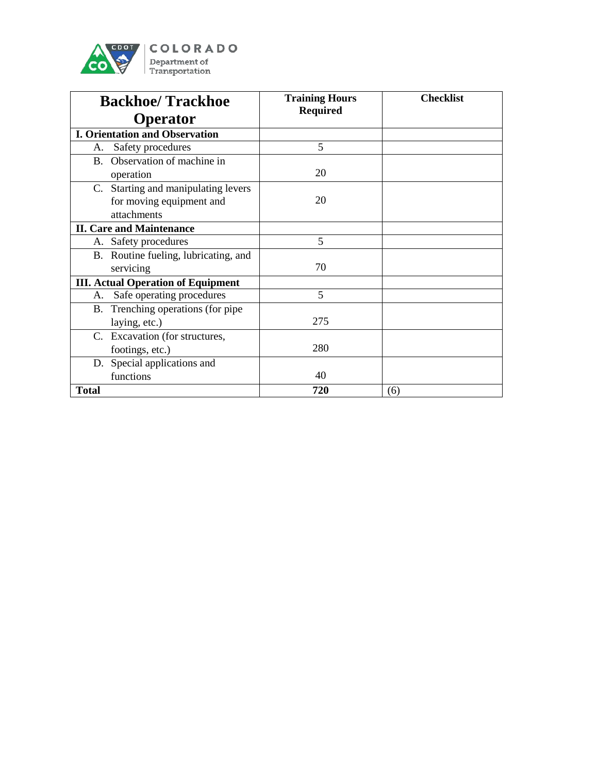

| <b>Backhoe/Trackhoe</b>                   | <b>Training Hours</b><br><b>Required</b> | <b>Checklist</b> |
|-------------------------------------------|------------------------------------------|------------------|
| <b>Operator</b>                           |                                          |                  |
| <b>I. Orientation and Observation</b>     |                                          |                  |
| Safety procedures<br>А.                   | 5                                        |                  |
| B. Observation of machine in              |                                          |                  |
| operation                                 | 20                                       |                  |
| C. Starting and manipulating levers       |                                          |                  |
| for moving equipment and                  | 20                                       |                  |
| attachments                               |                                          |                  |
| <b>II. Care and Maintenance</b>           |                                          |                  |
| A. Safety procedures                      | 5                                        |                  |
| B. Routine fueling, lubricating, and      |                                          |                  |
| servicing                                 | 70                                       |                  |
| <b>III. Actual Operation of Equipment</b> |                                          |                  |
| Safe operating procedures<br>А.           | 5                                        |                  |
| B. Trenching operations (for pipe         |                                          |                  |
| laying, etc.)                             | 275                                      |                  |
| C. Excavation (for structures,            |                                          |                  |
| footings, etc.)                           | 280                                      |                  |
| D. Special applications and               |                                          |                  |
| functions                                 | 40                                       |                  |
| <b>Total</b>                              | 720                                      | (6)              |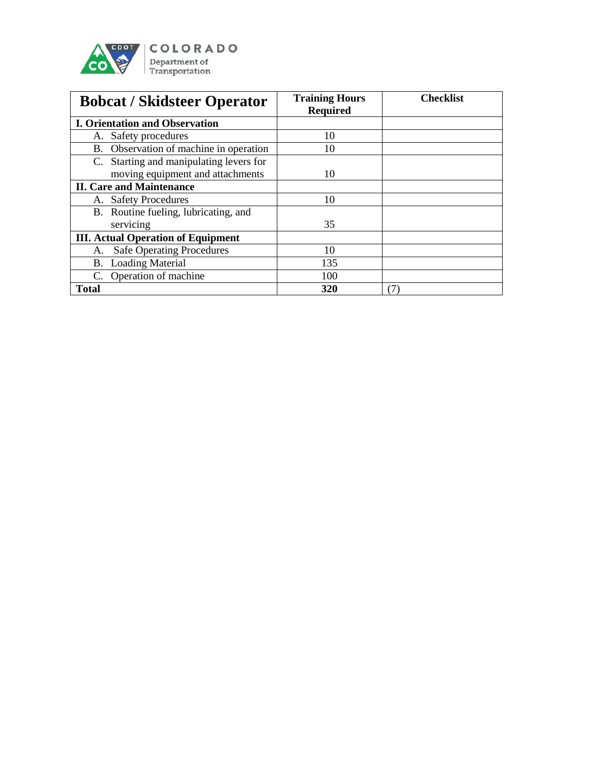

| <b>Bobcat / Skidsteer Operator</b>        | <b>Training Hours</b><br><b>Required</b> | <b>Checklist</b> |
|-------------------------------------------|------------------------------------------|------------------|
| <b>I. Orientation and Observation</b>     |                                          |                  |
| A. Safety procedures                      | 10                                       |                  |
| B. Observation of machine in operation    | 10                                       |                  |
| C. Starting and manipulating levers for   |                                          |                  |
| moving equipment and attachments          | 10                                       |                  |
| <b>II. Care and Maintenance</b>           |                                          |                  |
| A. Safety Procedures                      | 10                                       |                  |
| B. Routine fueling, lubricating, and      |                                          |                  |
| servicing                                 | 35                                       |                  |
| <b>III.</b> Actual Operation of Equipment |                                          |                  |
| <b>Safe Operating Procedures</b><br>А.    | 10                                       |                  |
| <b>B.</b> Loading Material                | 135                                      |                  |
| C. Operation of machine                   | 100                                      |                  |
| <b>Total</b>                              | 320                                      | 7)               |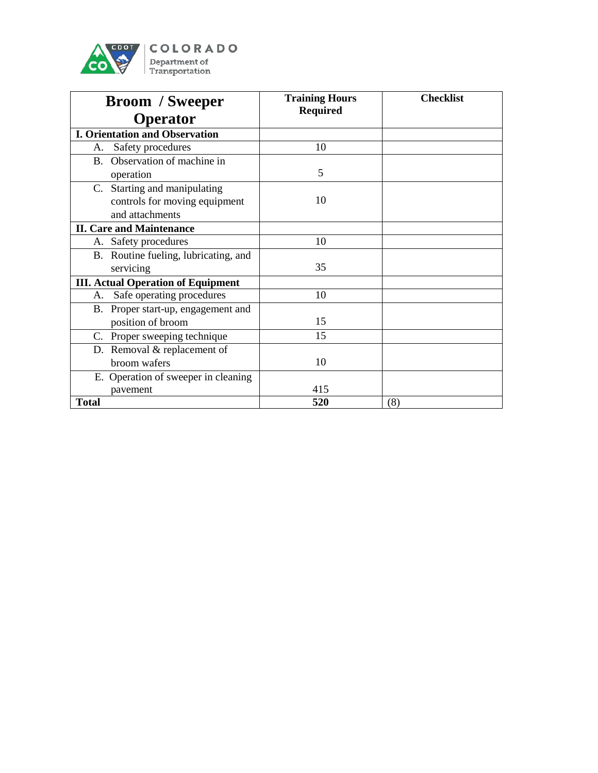

| <b>Broom</b> / Sweeper                                                           | <b>Training Hours</b><br><b>Required</b> | <b>Checklist</b> |
|----------------------------------------------------------------------------------|------------------------------------------|------------------|
| <b>Operator</b>                                                                  |                                          |                  |
| <b>I. Orientation and Observation</b>                                            |                                          |                  |
| Safety procedures<br>А.                                                          | 10                                       |                  |
| B. Observation of machine in                                                     |                                          |                  |
| operation                                                                        | 5                                        |                  |
| C. Starting and manipulating<br>controls for moving equipment<br>and attachments | 10                                       |                  |
| <b>II. Care and Maintenance</b>                                                  |                                          |                  |
| A. Safety procedures                                                             | 10                                       |                  |
| B. Routine fueling, lubricating, and                                             |                                          |                  |
| servicing                                                                        | 35                                       |                  |
| <b>III. Actual Operation of Equipment</b>                                        |                                          |                  |
| Safe operating procedures<br>А.                                                  | 10                                       |                  |
| B. Proper start-up, engagement and                                               |                                          |                  |
| position of broom                                                                | 15                                       |                  |
| C. Proper sweeping technique                                                     | 15                                       |                  |
| D. Removal & replacement of                                                      |                                          |                  |
| broom wafers                                                                     | 10                                       |                  |
| E. Operation of sweeper in cleaning                                              |                                          |                  |
| pavement                                                                         | 415                                      |                  |
| <b>Total</b>                                                                     | 520                                      | (8)              |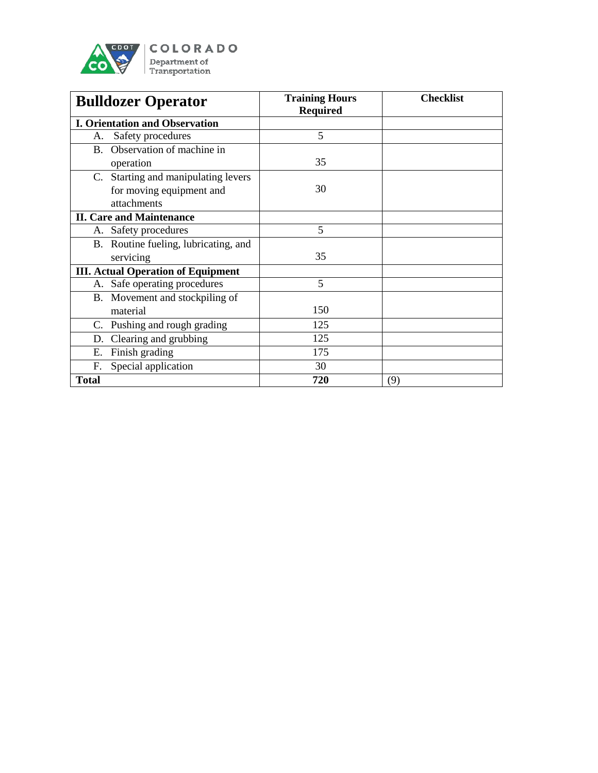

| <b>Bulldozer Operator</b>                 | <b>Training Hours</b><br><b>Required</b> | <b>Checklist</b> |
|-------------------------------------------|------------------------------------------|------------------|
| <b>I. Orientation and Observation</b>     |                                          |                  |
| Safety procedures<br>А.                   | 5                                        |                  |
| B. Observation of machine in              |                                          |                  |
| operation                                 | 35                                       |                  |
| C. Starting and manipulating levers       |                                          |                  |
| for moving equipment and                  | 30                                       |                  |
| attachments                               |                                          |                  |
| <b>II. Care and Maintenance</b>           |                                          |                  |
| A. Safety procedures                      | 5                                        |                  |
| B. Routine fueling, lubricating, and      |                                          |                  |
| servicing                                 | 35                                       |                  |
| <b>III. Actual Operation of Equipment</b> |                                          |                  |
| A. Safe operating procedures              | 5                                        |                  |
| B. Movement and stockpiling of            |                                          |                  |
| material                                  | 150                                      |                  |
| C. Pushing and rough grading              | 125                                      |                  |
| Clearing and grubbing<br>D.               | 125                                      |                  |
| Finish grading<br>E.                      | 175                                      |                  |
| Special application<br>F.                 | 30                                       |                  |
| <b>Total</b>                              | 720                                      | (9)              |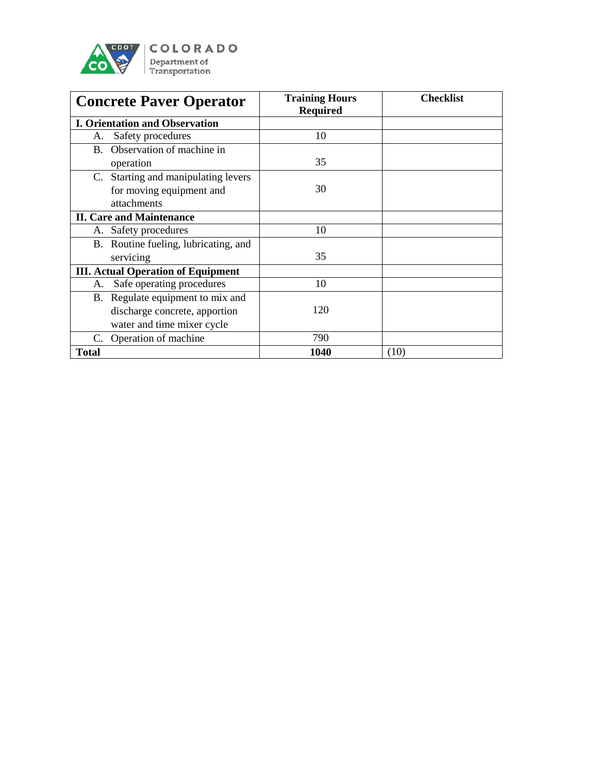

| <b>Concrete Paver Operator</b>            | <b>Training Hours</b><br><b>Required</b> | <b>Checklist</b> |
|-------------------------------------------|------------------------------------------|------------------|
| <b>I. Orientation and Observation</b>     |                                          |                  |
| Safety procedures<br>A.                   | 10                                       |                  |
| B. Observation of machine in              |                                          |                  |
| operation                                 | 35                                       |                  |
| C. Starting and manipulating levers       |                                          |                  |
| for moving equipment and                  | 30                                       |                  |
| attachments                               |                                          |                  |
| <b>II. Care and Maintenance</b>           |                                          |                  |
| A. Safety procedures                      | 10                                       |                  |
| B. Routine fueling, lubricating, and      |                                          |                  |
| servicing                                 | 35                                       |                  |
| <b>III. Actual Operation of Equipment</b> |                                          |                  |
| Safe operating procedures<br>А.           | 10                                       |                  |
| B. Regulate equipment to mix and          |                                          |                  |
| discharge concrete, apportion             | 120                                      |                  |
| water and time mixer cycle                |                                          |                  |
| C. Operation of machine                   | 790                                      |                  |
| <b>Total</b>                              | 1040                                     | (10)             |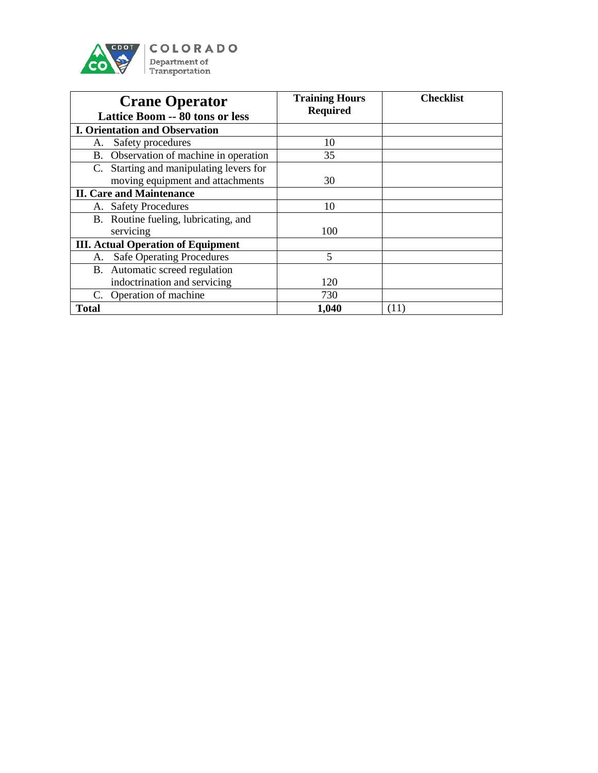

| <b>Crane Operator</b><br><b>Lattice Boom -- 80 tons or less</b> | <b>Training Hours</b><br><b>Required</b> | <b>Checklist</b> |
|-----------------------------------------------------------------|------------------------------------------|------------------|
| <b>I. Orientation and Observation</b>                           |                                          |                  |
| Safety procedures<br>А.                                         | 10                                       |                  |
| B. Observation of machine in operation                          | 35                                       |                  |
| C. Starting and manipulating levers for                         |                                          |                  |
| moving equipment and attachments                                | 30                                       |                  |
| <b>II. Care and Maintenance</b>                                 |                                          |                  |
| A. Safety Procedures                                            | 10                                       |                  |
| B. Routine fueling, lubricating, and                            |                                          |                  |
| servicing                                                       | 100                                      |                  |
| <b>III. Actual Operation of Equipment</b>                       |                                          |                  |
| <b>Safe Operating Procedures</b><br>A.                          | 5                                        |                  |
| B. Automatic screed regulation                                  |                                          |                  |
| indoctrination and servicing                                    | 120                                      |                  |
| C. Operation of machine                                         | 730                                      |                  |
| Total                                                           | 1,040                                    | (11)             |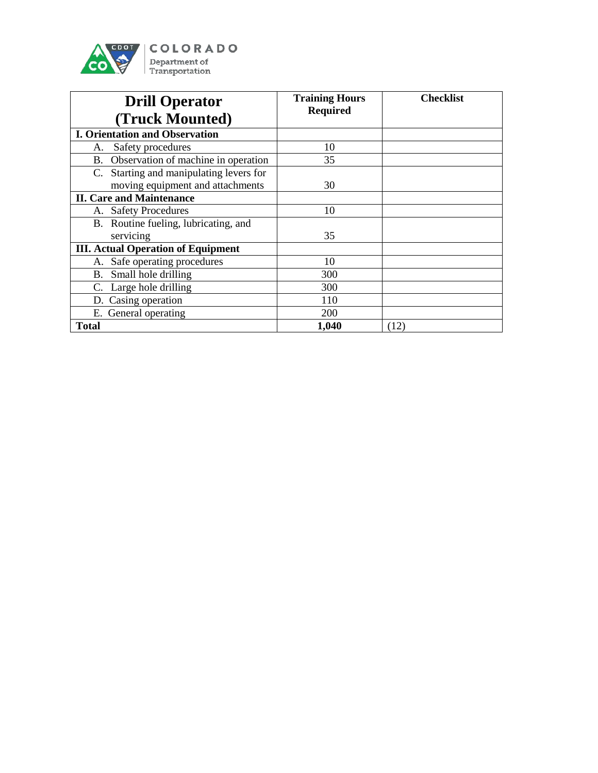

| <b>Drill Operator</b>                                                       | <b>Training Hours</b><br><b>Required</b> | <b>Checklist</b> |
|-----------------------------------------------------------------------------|------------------------------------------|------------------|
| (Truck Mounted)                                                             |                                          |                  |
| <b>I. Orientation and Observation</b>                                       |                                          |                  |
| Safety procedures<br>A.                                                     | 10                                       |                  |
| B. Observation of machine in operation                                      | 35                                       |                  |
| C. Starting and manipulating levers for<br>moving equipment and attachments | 30                                       |                  |
| <b>II. Care and Maintenance</b>                                             |                                          |                  |
| <b>Safety Procedures</b><br>А.                                              | 10                                       |                  |
| B. Routine fueling, lubricating, and                                        |                                          |                  |
| servicing                                                                   | 35                                       |                  |
| <b>III. Actual Operation of Equipment</b>                                   |                                          |                  |
| Safe operating procedures<br>А.                                             | 10                                       |                  |
| Small hole drilling<br>B.                                                   | 300                                      |                  |
| C. Large hole drilling                                                      | 300                                      |                  |
| D. Casing operation                                                         | 110                                      |                  |
| E. General operating                                                        | <b>200</b>                               |                  |
| <b>Total</b>                                                                | 1,040                                    | (12)             |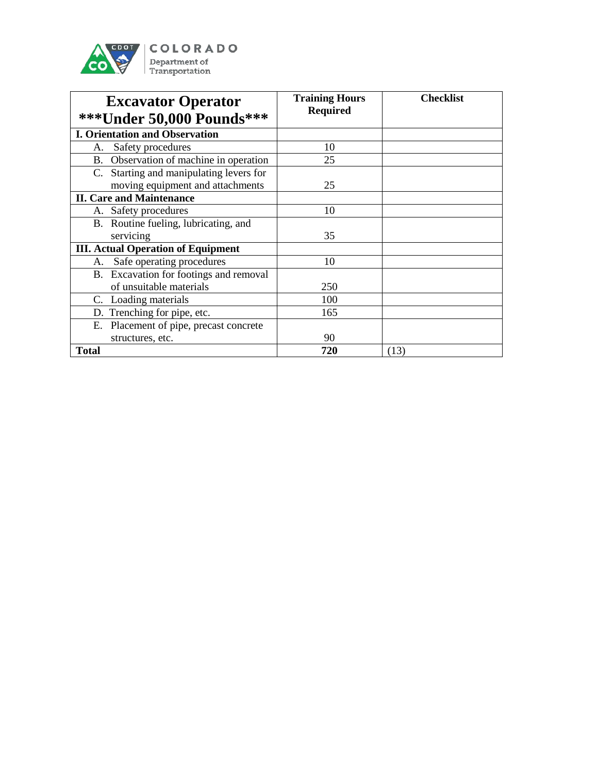

| <b>Excavator Operator</b><br>*** Under 50,000 Pounds*** | <b>Training Hours</b><br><b>Required</b> | <b>Checklist</b> |
|---------------------------------------------------------|------------------------------------------|------------------|
| <b>I. Orientation and Observation</b>                   |                                          |                  |
| Safety procedures<br>А.                                 | 10                                       |                  |
| B. Observation of machine in operation                  | 25                                       |                  |
| C. Starting and manipulating levers for                 |                                          |                  |
| moving equipment and attachments                        | 25                                       |                  |
| <b>II. Care and Maintenance</b>                         |                                          |                  |
| Safety procedures<br>А.                                 | 10                                       |                  |
| B. Routine fueling, lubricating, and                    |                                          |                  |
| servicing                                               | 35                                       |                  |
| <b>III. Actual Operation of Equipment</b>               |                                          |                  |
| Safe operating procedures<br>А.                         | 10                                       |                  |
| B. Excavation for footings and removal                  |                                          |                  |
| of unsuitable materials                                 | 250                                      |                  |
| C. Loading materials                                    | 100                                      |                  |
| D. Trenching for pipe, etc.                             | 165                                      |                  |
| E. Placement of pipe, precast concrete                  |                                          |                  |
| structures, etc.                                        | 90                                       |                  |
| <b>Total</b>                                            | 720                                      | (13)             |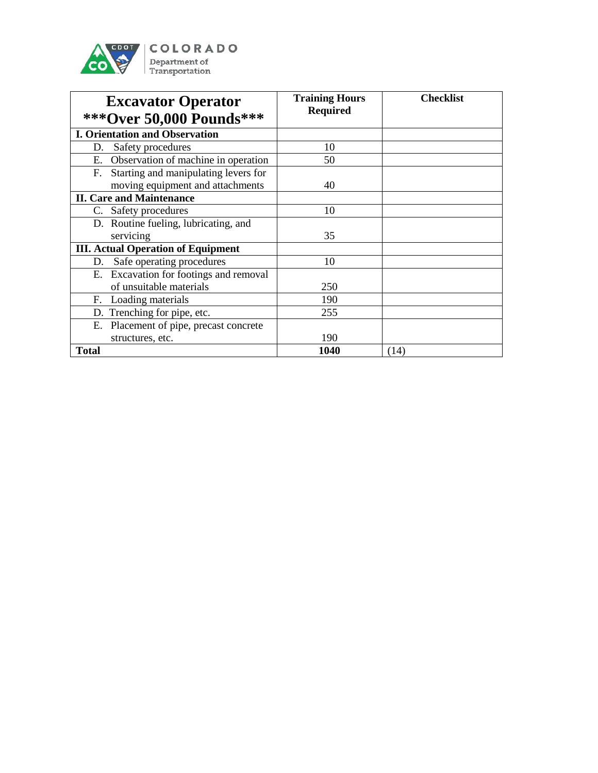

| <b>Excavator Operator</b><br>*** Over 50,000 Pounds*** | <b>Training Hours</b><br><b>Required</b> | <b>Checklist</b> |
|--------------------------------------------------------|------------------------------------------|------------------|
| <b>I. Orientation and Observation</b>                  |                                          |                  |
| Safety procedures<br>D.                                | 10                                       |                  |
| Observation of machine in operation<br>Е.              | 50                                       |                  |
| Starting and manipulating levers for<br>F.             |                                          |                  |
| moving equipment and attachments                       | 40                                       |                  |
| <b>II. Care and Maintenance</b>                        |                                          |                  |
| C. Safety procedures                                   | 10                                       |                  |
| D. Routine fueling, lubricating, and                   |                                          |                  |
| servicing                                              | 35                                       |                  |
| <b>III. Actual Operation of Equipment</b>              |                                          |                  |
| Safe operating procedures<br>D.                        | 10                                       |                  |
| E. Excavation for footings and removal                 |                                          |                  |
| of unsuitable materials                                | 250                                      |                  |
| Loading materials<br>F.                                | 190                                      |                  |
| D. Trenching for pipe, etc.                            | 255                                      |                  |
| E. Placement of pipe, precast concrete                 |                                          |                  |
| structures, etc.                                       | 190                                      |                  |
| <b>Total</b>                                           | 1040                                     | (14)             |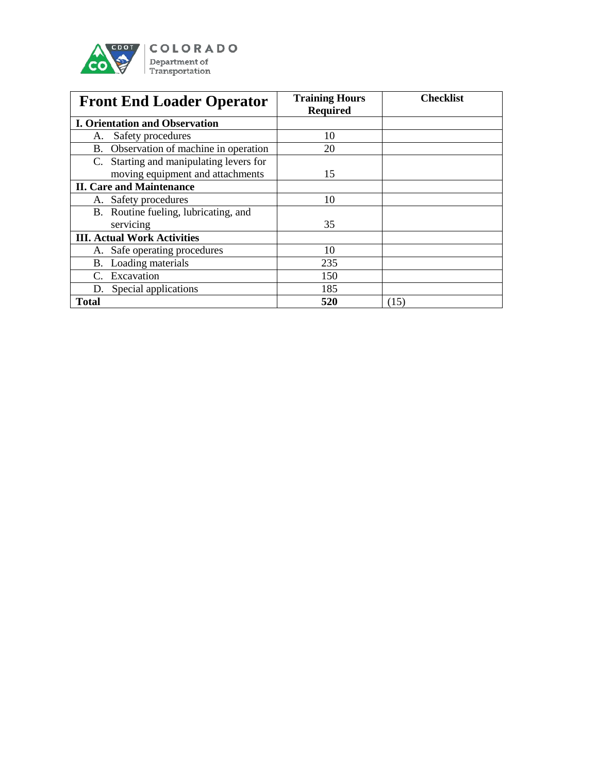

| <b>Front End Loader Operator</b>           | <b>Training Hours</b><br><b>Required</b> | <b>Checklist</b> |
|--------------------------------------------|------------------------------------------|------------------|
| <b>I. Orientation and Observation</b>      |                                          |                  |
| Safety procedures<br>A.                    | 10                                       |                  |
| B. Observation of machine in operation     | 20                                       |                  |
| Starting and manipulating levers for<br>C. |                                          |                  |
| moving equipment and attachments           | 15                                       |                  |
| <b>II. Care and Maintenance</b>            |                                          |                  |
| A. Safety procedures                       | 10                                       |                  |
| B. Routine fueling, lubricating, and       |                                          |                  |
| servicing                                  | 35                                       |                  |
| <b>III. Actual Work Activities</b>         |                                          |                  |
| Safe operating procedures<br>А.            | 10                                       |                  |
| B. Loading materials                       | 235                                      |                  |
| Excavation<br>$C_{\cdot}$                  | 150                                      |                  |
| Special applications<br>D.                 | 185                                      |                  |
| <b>Total</b>                               | 520                                      | (15)             |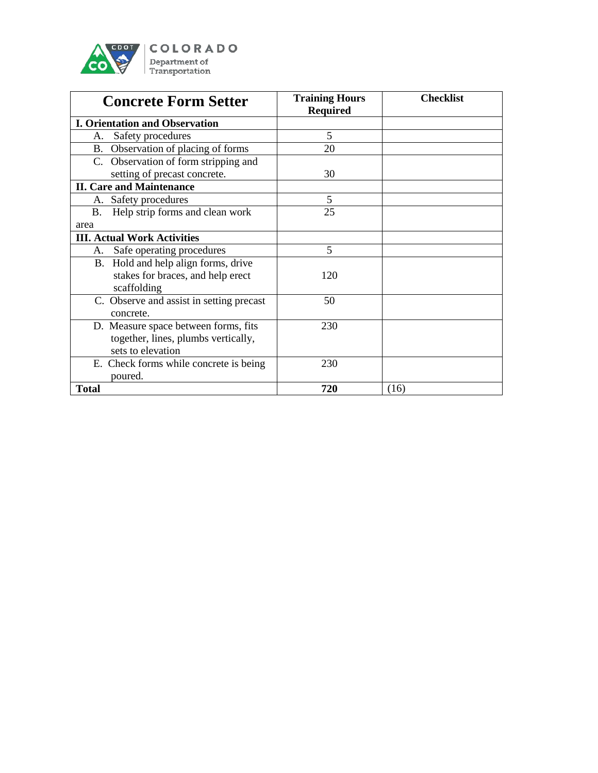

| <b>Concrete Form Setter</b>              | <b>Training Hours</b><br><b>Required</b> | <b>Checklist</b> |
|------------------------------------------|------------------------------------------|------------------|
| <b>I. Orientation and Observation</b>    |                                          |                  |
| Safety procedures<br>А.                  | 5                                        |                  |
| B. Observation of placing of forms       | 20                                       |                  |
| C. Observation of form stripping and     |                                          |                  |
| setting of precast concrete.             | 30                                       |                  |
| <b>II. Care and Maintenance</b>          |                                          |                  |
| A. Safety procedures                     | 5                                        |                  |
| Help strip forms and clean work<br>В.    | 25                                       |                  |
| area                                     |                                          |                  |
| <b>III. Actual Work Activities</b>       |                                          |                  |
| Safe operating procedures<br>A.          | 5                                        |                  |
| B. Hold and help align forms, drive      |                                          |                  |
| stakes for braces, and help erect        | 120                                      |                  |
| scaffolding                              |                                          |                  |
| C. Observe and assist in setting precast | 50                                       |                  |
| concrete.                                |                                          |                  |
| D. Measure space between forms, fits     | 230                                      |                  |
| together, lines, plumbs vertically,      |                                          |                  |
| sets to elevation                        |                                          |                  |
| E. Check forms while concrete is being   | 230                                      |                  |
| poured.                                  |                                          |                  |
| <b>Total</b>                             | 720                                      | (16)             |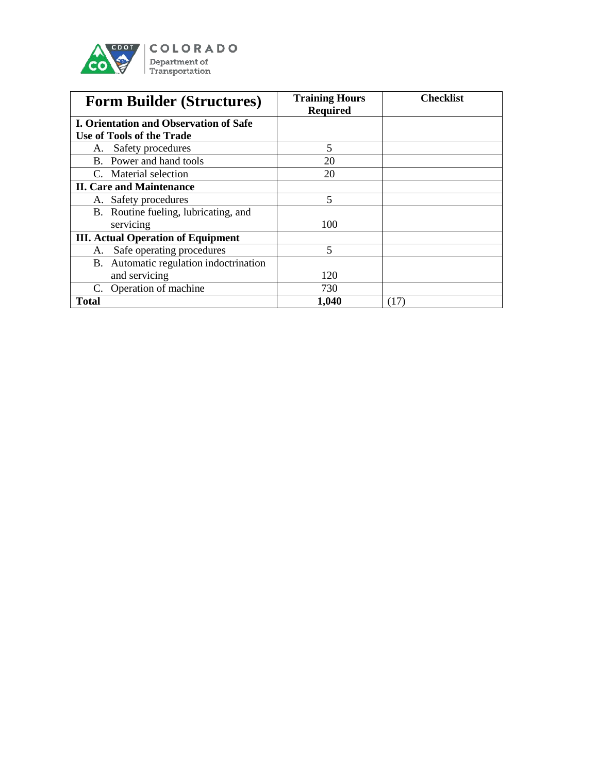

| <b>Form Builder (Structures)</b>              | <b>Training Hours</b><br><b>Required</b> | <b>Checklist</b> |
|-----------------------------------------------|------------------------------------------|------------------|
| <b>I. Orientation and Observation of Safe</b> |                                          |                  |
| Use of Tools of the Trade                     |                                          |                  |
| Safety procedures<br>А.                       | 5                                        |                  |
| B. Power and hand tools                       | 20                                       |                  |
| C. Material selection                         | 20                                       |                  |
| <b>II. Care and Maintenance</b>               |                                          |                  |
| Safety procedures<br>А.                       | 5                                        |                  |
| B. Routine fueling, lubricating, and          |                                          |                  |
| servicing                                     | 100                                      |                  |
| <b>III.</b> Actual Operation of Equipment     |                                          |                  |
| Safe operating procedures<br>A.               | 5                                        |                  |
| B. Automatic regulation indoctrination        |                                          |                  |
| and servicing                                 | 120                                      |                  |
| C. Operation of machine                       | 730                                      |                  |
| <b>Total</b>                                  | 1,040                                    | (17)             |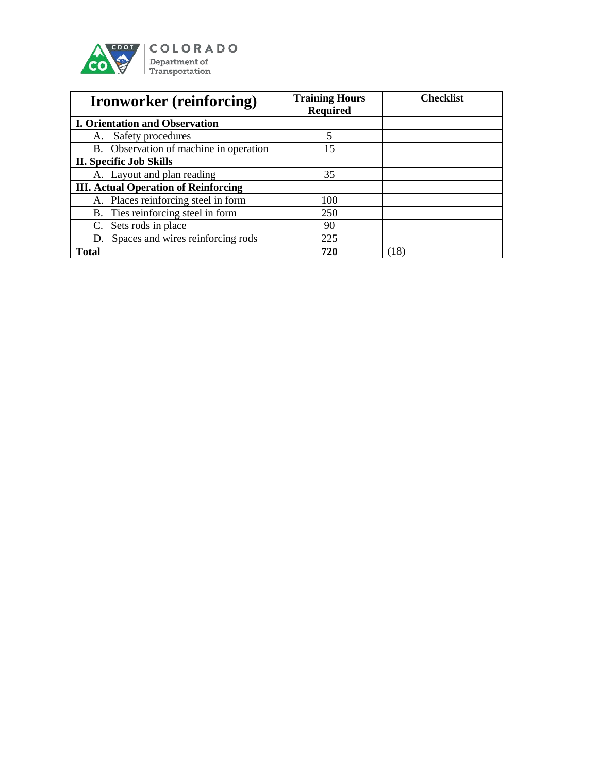

| <b>Ironworker</b> (reinforcing)             | <b>Training Hours</b><br><b>Required</b> | <b>Checklist</b> |
|---------------------------------------------|------------------------------------------|------------------|
| <b>I. Orientation and Observation</b>       |                                          |                  |
| A. Safety procedures                        | 5                                        |                  |
| B. Observation of machine in operation      | 15                                       |                  |
| <b>II. Specific Job Skills</b>              |                                          |                  |
| A. Layout and plan reading                  | 35                                       |                  |
| <b>III. Actual Operation of Reinforcing</b> |                                          |                  |
| A. Places reinforcing steel in form         | 100                                      |                  |
| B. Ties reinforcing steel in form           | 250                                      |                  |
| Sets rods in place<br>C.                    | 90                                       |                  |
| D. Spaces and wires reinforcing rods        | 225                                      |                  |
| <b>Total</b>                                | 720                                      | (18)             |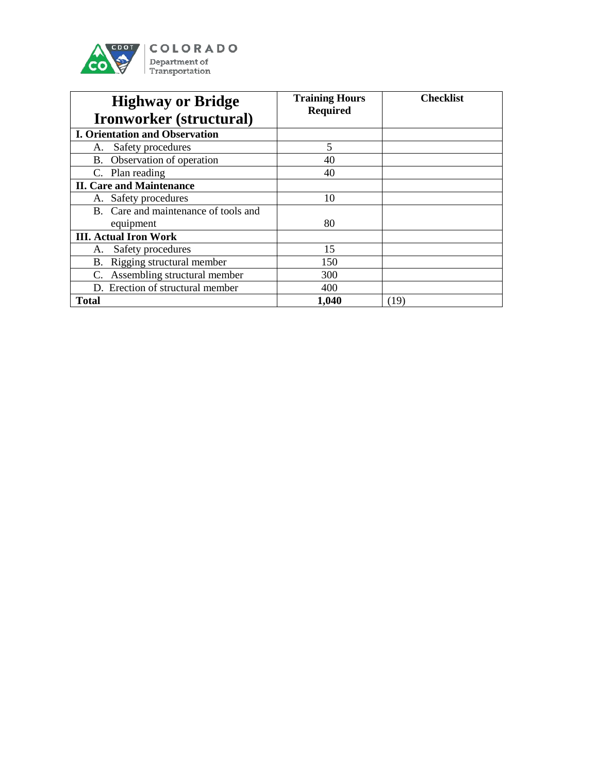

| <b>Highway or Bridge</b><br>Ironworker (structural) | <b>Training Hours</b><br><b>Required</b> | <b>Checklist</b> |
|-----------------------------------------------------|------------------------------------------|------------------|
| <b>I. Orientation and Observation</b>               |                                          |                  |
| Safety procedures<br>А.                             | 5                                        |                  |
| B. Observation of operation                         | 40                                       |                  |
| C. Plan reading                                     | 40                                       |                  |
| <b>II. Care and Maintenance</b>                     |                                          |                  |
| A. Safety procedures                                | 10                                       |                  |
| B. Care and maintenance of tools and                |                                          |                  |
| equipment                                           | 80                                       |                  |
| <b>III. Actual Iron Work</b>                        |                                          |                  |
| Safety procedures<br>A.                             | 15                                       |                  |
| B. Rigging structural member                        | 150                                      |                  |
| C. Assembling structural member                     | 300                                      |                  |
| D. Erection of structural member                    | 400                                      |                  |
| <b>Total</b>                                        | 1,040                                    | (19)             |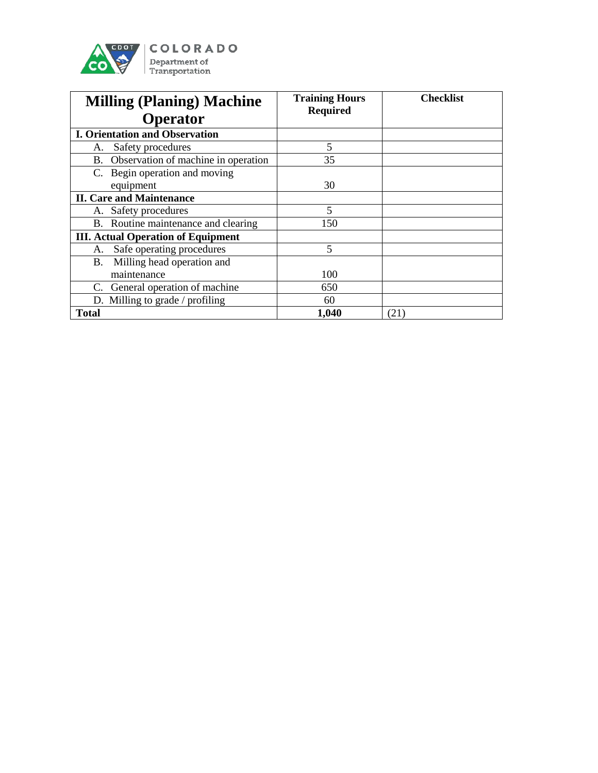

| <b>Milling (Planing) Machine</b><br>Operator     | <b>Training Hours</b><br><b>Required</b> | <b>Checklist</b> |
|--------------------------------------------------|------------------------------------------|------------------|
| <b>I. Orientation and Observation</b>            |                                          |                  |
| Safety procedures<br>А.                          | 5                                        |                  |
| Observation of machine in operation<br><b>B.</b> | 35                                       |                  |
| C. Begin operation and moving                    |                                          |                  |
| equipment                                        | 30                                       |                  |
| <b>II. Care and Maintenance</b>                  |                                          |                  |
| A. Safety procedures                             | 5                                        |                  |
| B. Routine maintenance and clearing              | 150                                      |                  |
| <b>III. Actual Operation of Equipment</b>        |                                          |                  |
| Safe operating procedures<br>А.                  | 5                                        |                  |
| Milling head operation and<br>B.                 |                                          |                  |
| maintenance                                      | 100                                      |                  |
| C. General operation of machine                  | 650                                      |                  |
| D. Milling to grade / profiling                  | 60                                       |                  |
| <b>Total</b>                                     | 1,040                                    | (21)             |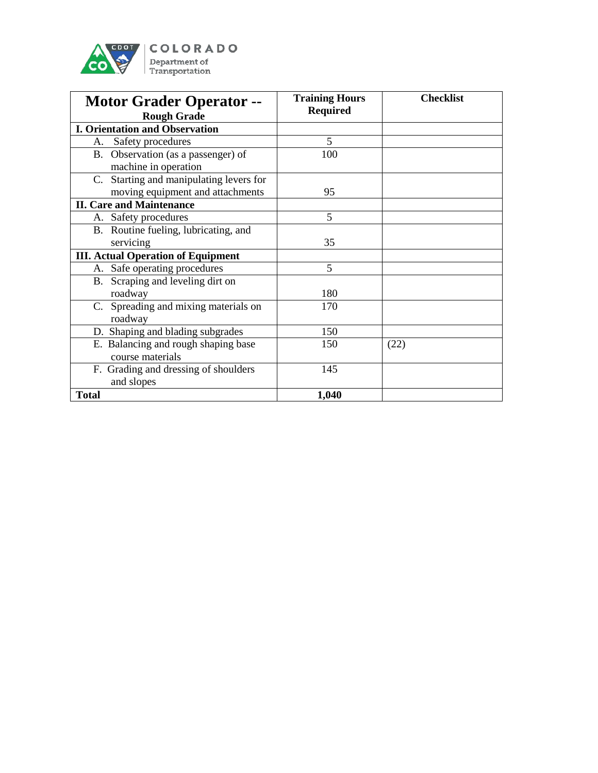

| <b>Motor Grader Operator --</b><br><b>Rough Grade</b>                       | <b>Training Hours</b><br><b>Required</b> | <b>Checklist</b> |
|-----------------------------------------------------------------------------|------------------------------------------|------------------|
| <b>I. Orientation and Observation</b>                                       |                                          |                  |
| Safety procedures<br>А.                                                     | 5                                        |                  |
| B. Observation (as a passenger) of<br>machine in operation                  | 100                                      |                  |
| C. Starting and manipulating levers for<br>moving equipment and attachments | 95                                       |                  |
| <b>II. Care and Maintenance</b>                                             |                                          |                  |
| A. Safety procedures                                                        | 5                                        |                  |
| B. Routine fueling, lubricating, and                                        |                                          |                  |
| servicing                                                                   | 35                                       |                  |
| <b>III. Actual Operation of Equipment</b>                                   |                                          |                  |
| A. Safe operating procedures                                                | 5                                        |                  |
| B. Scraping and leveling dirt on                                            |                                          |                  |
| roadway                                                                     | 180                                      |                  |
| C. Spreading and mixing materials on<br>roadway                             | 170                                      |                  |
| D. Shaping and blading subgrades                                            | 150                                      |                  |
| E. Balancing and rough shaping base<br>course materials                     | 150                                      | (22)             |
| F. Grading and dressing of shoulders<br>and slopes                          | 145                                      |                  |
| <b>Total</b>                                                                | 1,040                                    |                  |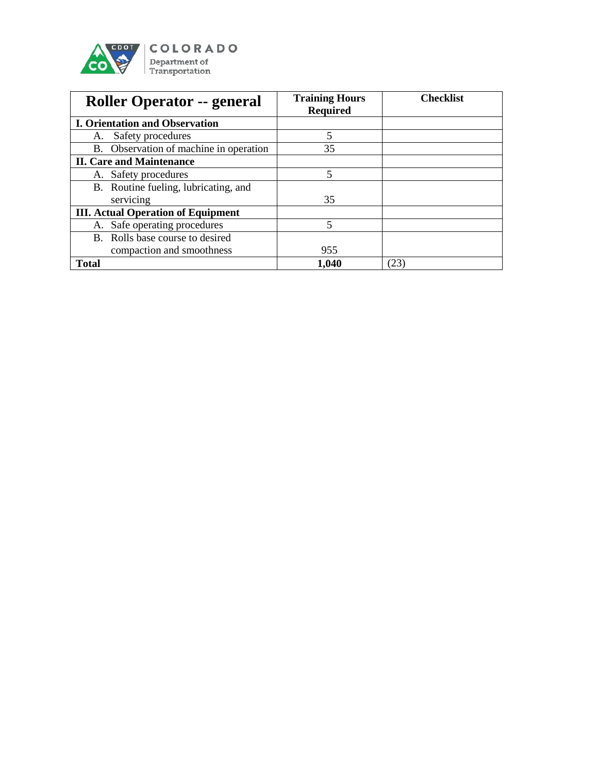

| <b>Roller Operator -- general</b>         | <b>Training Hours</b><br><b>Required</b> | <b>Checklist</b> |
|-------------------------------------------|------------------------------------------|------------------|
| <b>I. Orientation and Observation</b>     |                                          |                  |
| Safety procedures<br>А.                   | 5                                        |                  |
| B. Observation of machine in operation    | 35                                       |                  |
| <b>II. Care and Maintenance</b>           |                                          |                  |
| A. Safety procedures                      | 5                                        |                  |
| B. Routine fueling, lubricating, and      |                                          |                  |
| servicing                                 | 35                                       |                  |
| <b>III. Actual Operation of Equipment</b> |                                          |                  |
| A. Safe operating procedures              | 5                                        |                  |
| B. Rolls base course to desired           |                                          |                  |
| compaction and smoothness                 | 955                                      |                  |
| <b>Total</b>                              | 1,040                                    | (23)             |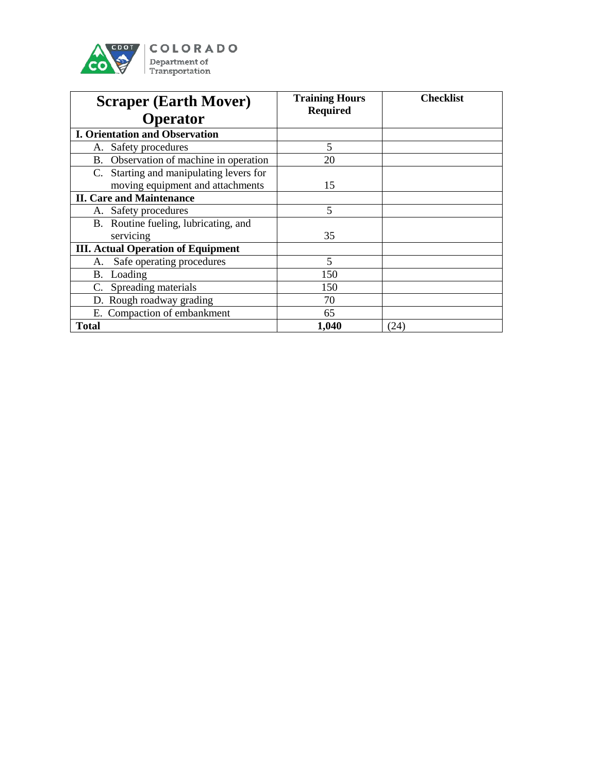

| <b>Scraper (Earth Mover)</b>                                                | <b>Training Hours</b><br><b>Required</b> | <b>Checklist</b> |
|-----------------------------------------------------------------------------|------------------------------------------|------------------|
| <b>Operator</b>                                                             |                                          |                  |
| <b>I. Orientation and Observation</b>                                       |                                          |                  |
| Safety procedures<br>А.                                                     | 5                                        |                  |
| B. Observation of machine in operation                                      | 20                                       |                  |
| C. Starting and manipulating levers for<br>moving equipment and attachments | 15                                       |                  |
| <b>II. Care and Maintenance</b>                                             |                                          |                  |
| Safety procedures<br>А.                                                     | 5                                        |                  |
| B. Routine fueling, lubricating, and                                        |                                          |                  |
| servicing                                                                   | 35                                       |                  |
| <b>III. Actual Operation of Equipment</b>                                   |                                          |                  |
| Safe operating procedures<br>A.                                             | 5                                        |                  |
| Loading<br>В.                                                               | 150                                      |                  |
| Spreading materials                                                         | 150                                      |                  |
| D. Rough roadway grading                                                    | 70                                       |                  |
| E. Compaction of embankment                                                 | 65                                       |                  |
| <b>Total</b>                                                                | 1,040                                    | (24)             |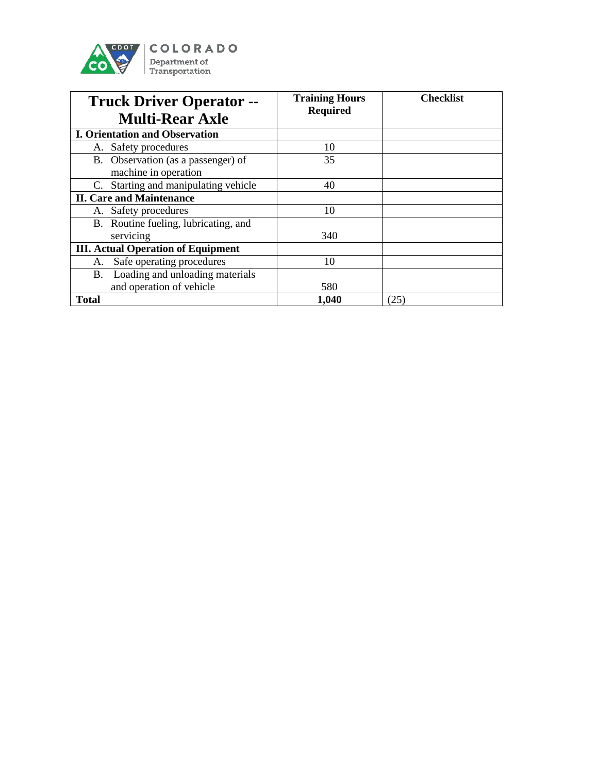

| <b>Truck Driver Operator --</b><br><b>Multi-Rear Axle</b> | <b>Training Hours</b><br><b>Required</b> | <b>Checklist</b> |
|-----------------------------------------------------------|------------------------------------------|------------------|
| <b>I. Orientation and Observation</b>                     |                                          |                  |
|                                                           |                                          |                  |
| A. Safety procedures                                      | 10                                       |                  |
| B. Observation (as a passenger) of                        | 35                                       |                  |
| machine in operation                                      |                                          |                  |
| C. Starting and manipulating vehicle                      | 40                                       |                  |
| <b>II. Care and Maintenance</b>                           |                                          |                  |
| A. Safety procedures                                      | 10                                       |                  |
| B. Routine fueling, lubricating, and                      |                                          |                  |
| servicing                                                 | 340                                      |                  |
| <b>III. Actual Operation of Equipment</b>                 |                                          |                  |
| Safe operating procedures<br>A.                           | 10                                       |                  |
| B. Loading and unloading materials                        |                                          |                  |
| and operation of vehicle                                  | 580                                      |                  |
| <b>Total</b>                                              | 1,040                                    | (25)             |